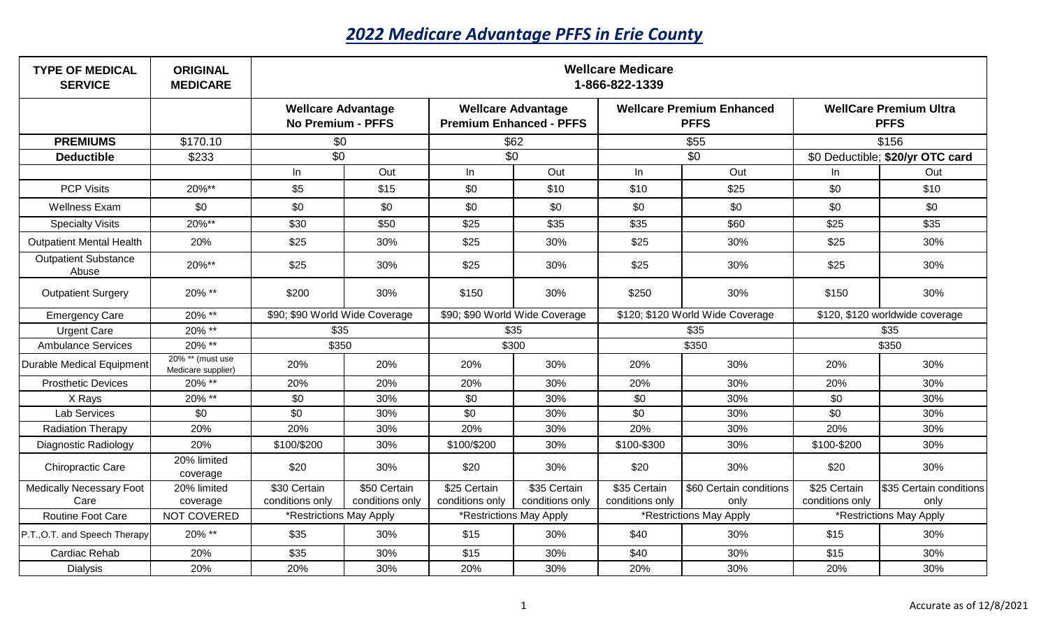## *2022 Medicare Advantage PFFS in Erie County*

| <b>TYPE OF MEDICAL</b><br><b>SERVICE</b> | <b>ORIGINAL</b><br><b>MEDICARE</b>     | <b>Wellcare Medicare</b><br>1-866-822-1339            |                 |                                                             |                 |                                                 |                         |                                              |                         |  |
|------------------------------------------|----------------------------------------|-------------------------------------------------------|-----------------|-------------------------------------------------------------|-----------------|-------------------------------------------------|-------------------------|----------------------------------------------|-------------------------|--|
|                                          |                                        | <b>Wellcare Advantage</b><br><b>No Premium - PFFS</b> |                 | <b>Wellcare Advantage</b><br><b>Premium Enhanced - PFFS</b> |                 | <b>Wellcare Premium Enhanced</b><br><b>PFFS</b> |                         | <b>WellCare Premium Ultra</b><br><b>PFFS</b> |                         |  |
| <b>PREMIUMS</b>                          | \$170.10                               | \$0                                                   |                 | \$62                                                        |                 | \$55                                            |                         | \$156                                        |                         |  |
| <b>Deductible</b>                        | \$233                                  | \$0                                                   |                 | \$0                                                         |                 | \$0                                             |                         | \$0 Deductible; \$20/yr OTC card             |                         |  |
|                                          |                                        | In                                                    | Out             | $\ln$                                                       | Out             | $\ln$                                           | Out                     | In.                                          | Out                     |  |
| <b>PCP Visits</b>                        | 20%**                                  | \$5                                                   | \$15            | \$0                                                         | \$10            | \$10                                            | \$25                    | \$0                                          | \$10                    |  |
| <b>Wellness Exam</b>                     | \$0                                    | \$0                                                   | \$0             | \$0                                                         | \$0             | \$0                                             | \$0                     | \$0                                          | \$0                     |  |
| <b>Specialty Visits</b>                  | 20%**                                  | \$30                                                  | \$50            | \$25                                                        | \$35            | \$35                                            | \$60                    | \$25                                         | \$35                    |  |
| <b>Outpatient Mental Health</b>          | 20%                                    | \$25                                                  | 30%             | \$25                                                        | 30%             | \$25                                            | 30%                     | \$25                                         | 30%                     |  |
| <b>Outpatient Substance</b><br>Abuse     | 20%**                                  | \$25                                                  | 30%             | \$25                                                        | 30%             | \$25                                            | 30%                     | \$25                                         | 30%                     |  |
| <b>Outpatient Surgery</b>                | 20% **                                 | \$200                                                 | 30%             | \$150                                                       | 30%             | \$250                                           | 30%                     | \$150                                        | 30%                     |  |
| <b>Emergency Care</b>                    | 20% **                                 | \$90; \$90 World Wide Coverage                        |                 | \$90; \$90 World Wide Coverage                              |                 | \$120; \$120 World Wide Coverage                |                         | \$120, \$120 worldwide coverage              |                         |  |
| <b>Urgent Care</b>                       | 20% **                                 | \$35                                                  |                 | \$35                                                        |                 | \$35                                            |                         | \$35                                         |                         |  |
| <b>Ambulance Services</b>                | 20% **                                 | \$350                                                 |                 | \$300                                                       |                 | \$350                                           |                         | \$350                                        |                         |  |
| Durable Medical Equipment                | 20% ** (must use<br>Medicare supplier) | 20%                                                   | 20%             | 20%                                                         | 30%             | 20%                                             | 30%                     | 20%                                          | 30%                     |  |
| <b>Prosthetic Devices</b>                | 20% **                                 | 20%                                                   | 20%             | 20%                                                         | 30%             | 20%                                             | 30%                     | 20%                                          | 30%                     |  |
| X Rays                                   | 20% **                                 | \$0                                                   | 30%             | \$0                                                         | 30%             | \$0                                             | 30%                     | \$0                                          | 30%                     |  |
| Lab Services                             | \$0                                    | \$0                                                   | 30%             | \$0                                                         | 30%             | \$0                                             | 30%                     | \$0                                          | 30%                     |  |
| <b>Radiation Therapy</b>                 | 20%                                    | 20%                                                   | 30%             | 20%                                                         | 30%             | 20%                                             | 30%                     | 20%                                          | 30%                     |  |
| Diagnostic Radiology                     | 20%                                    | \$100/\$200                                           | 30%             | \$100/\$200                                                 | 30%             | \$100-\$300                                     | 30%                     | \$100-\$200                                  | 30%                     |  |
| <b>Chiropractic Care</b>                 | 20% limited<br>coverage                | \$20                                                  | 30%             | \$20                                                        | 30%             | \$20                                            | 30%                     | \$20                                         | 30%                     |  |
| <b>Medically Necessary Foot</b>          | 20% limited                            | \$30 Certain                                          | \$50 Certain    | \$25 Certain                                                | \$35 Certain    | \$35 Certain                                    | \$60 Certain conditions | \$25 Certain                                 | \$35 Certain conditions |  |
| Care                                     | coverage                               | conditions only                                       | conditions only | conditions only                                             | conditions only | conditions only                                 | only                    | conditions only                              | only                    |  |
| <b>Routine Foot Care</b>                 | NOT COVERED                            | *Restrictions May Apply                               |                 | *Restrictions May Apply                                     |                 | *Restrictions May Apply                         |                         | *Restrictions May Apply                      |                         |  |
| P.T., O.T. and Speech Therapy            | 20% **                                 | \$35                                                  | 30%             | \$15                                                        | 30%             | \$40                                            | 30%                     | \$15                                         | 30%                     |  |
| Cardiac Rehab                            | 20%                                    | \$35                                                  | 30%             | \$15                                                        | 30%             | \$40                                            | 30%                     | \$15                                         | 30%                     |  |
| <b>Dialysis</b>                          | 20%                                    | 20%                                                   | 30%             | 20%                                                         | 30%             | 20%                                             | 30%                     | 20%                                          | 30%                     |  |